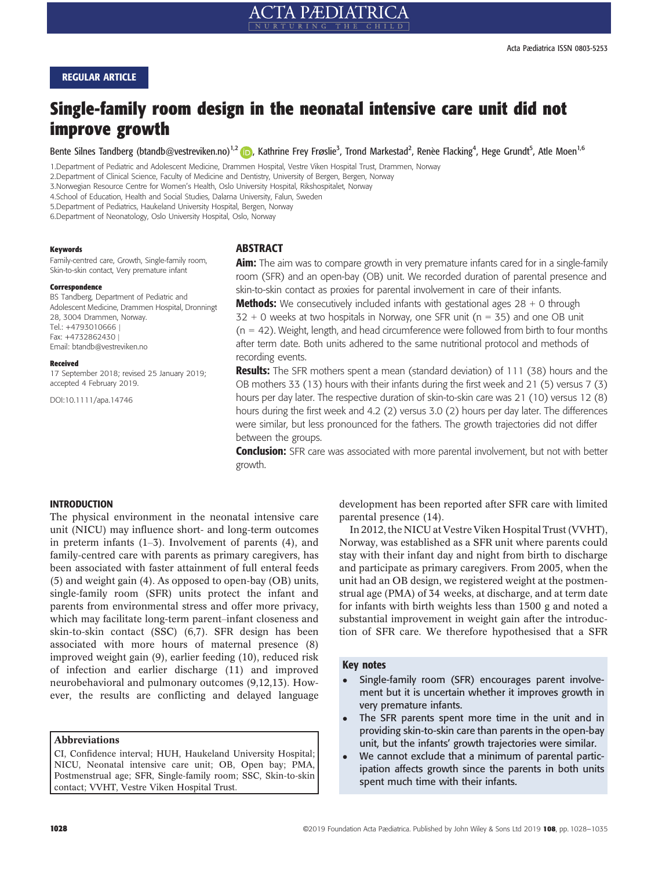## REGULAR ARTICLE

# Single-family room design in the neonatal intensive care unit did not improve growth

Bente Silnes Tandberg (btandb@vestreviken.no)<sup>1,2</sup> (D), Kathrine Frey Frøslie<sup>3</sup>, Trond Markestad<sup>2</sup>, Renèe Flacking<sup>4</sup>, Hege Grundt<sup>5</sup>, Atle Moen<sup>1,6</sup>

1.Department of Pediatric and Adolescent Medicine, Drammen Hospital, Vestre Viken Hospital Trust, Drammen, Norway

2.Department of Clinical Science, Faculty of Medicine and Dentistry, University of Bergen, Bergen, Norway

3.Norwegian Resource Centre for Women's Health, Oslo University Hospital, Rikshospitalet, Norway

4.School of Education, Health and Social Studies, Dalarna University, Falun, Sweden

5.Department of Pediatrics, Haukeland University Hospital, Bergen, Norway

6.Department of Neonatology, Oslo University Hospital, Oslo, Norway

### Keywords

Family-centred care, Growth, Single-family room, Skin-to-skin contact, Very premature infant

#### Correspondence

BS Tandberg, Department of Pediatric and Adolescent Medicine, Drammen Hospital, Dronningt 28, 3004 Drammen, Norway. Tel.: +4793010666 | Fax: +4732862430 | Email: btandb@vestreviken.no

#### Received

17 September 2018; revised 25 January 2019; accepted 4 February 2019.

DOI:10.1111/apa.14746

#### ABSTRACT

**Aim:** The aim was to compare growth in very premature infants cared for in a single-family room (SFR) and an open-bay (OB) unit. We recorded duration of parental presence and skin-to-skin contact as proxies for parental involvement in care of their infants.

**Methods:** We consecutively included infants with gestational ages  $28 + 0$  through  $32 + 0$  weeks at two hospitals in Norway, one SFR unit (n = 35) and one OB unit  $(n = 42)$ . Weight, length, and head circumference were followed from birth to four months after term date. Both units adhered to the same nutritional protocol and methods of recording events.

Results: The SFR mothers spent a mean (standard deviation) of 111 (38) hours and the OB mothers 33 (13) hours with their infants during the first week and 21 (5) versus 7 (3) hours per day later. The respective duration of skin-to-skin care was 21 (10) versus 12 (8) hours during the first week and 4.2 (2) versus 3.0 (2) hours per day later. The differences were similar, but less pronounced for the fathers. The growth trajectories did not differ between the groups.

**Conclusion:** SFR care was associated with more parental involvement, but not with better growth.

## INTRODUCTION

The physical environment in the neonatal intensive care unit (NICU) may influence short- and long-term outcomes in preterm infants (1–3). Involvement of parents (4), and family-centred care with parents as primary caregivers, has been associated with faster attainment of full enteral feeds (5) and weight gain (4). As opposed to open-bay (OB) units, single-family room (SFR) units protect the infant and parents from environmental stress and offer more privacy, which may facilitate long-term parent–infant closeness and skin-to-skin contact (SSC) (6,7). SFR design has been associated with more hours of maternal presence (8) improved weight gain (9), earlier feeding (10), reduced risk of infection and earlier discharge (11) and improved neurobehavioral and pulmonary outcomes (9,12,13). However, the results are conflicting and delayed language

## Abbreviations

CI, Confidence interval; HUH, Haukeland University Hospital; NICU, Neonatal intensive care unit; OB, Open bay; PMA, Postmenstrual age; SFR, Single-family room; SSC, Skin-to-skin contact; VVHT, Vestre Viken Hospital Trust.

development has been reported after SFR care with limited parental presence (14).

In 2012, the NICU at Vestre Viken Hospital Trust (VVHT), Norway, was established as a SFR unit where parents could stay with their infant day and night from birth to discharge and participate as primary caregivers. From 2005, when the unit had an OB design, we registered weight at the postmenstrual age (PMA) of 34 weeks, at discharge, and at term date for infants with birth weights less than 1500 g and noted a substantial improvement in weight gain after the introduction of SFR care. We therefore hypothesised that a SFR

#### Key notes

- Single-family room (SFR) encourages parent involvement but it is uncertain whether it improves growth in very premature infants.
- The SFR parents spent more time in the unit and in providing skin-to-skin care than parents in the open-bay unit, but the infants' growth trajectories were similar.
- We cannot exclude that a minimum of parental participation affects growth since the parents in both units spent much time with their infants.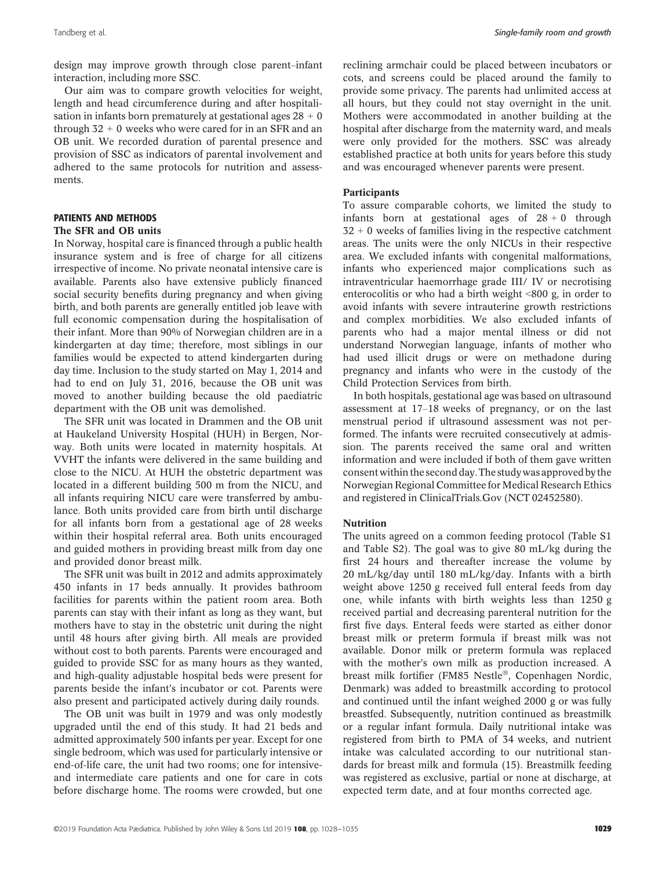design may improve growth through close parent–infant interaction, including more SSC.

Our aim was to compare growth velocities for weight, length and head circumference during and after hospitalisation in infants born prematurely at gestational ages  $28 + 0$ through 32 + 0 weeks who were cared for in an SFR and an OB unit. We recorded duration of parental presence and provision of SSC as indicators of parental involvement and adhered to the same protocols for nutrition and assessments.

# PATIENTS AND METHODS

## The SFR and OB units

In Norway, hospital care is financed through a public health insurance system and is free of charge for all citizens irrespective of income. No private neonatal intensive care is available. Parents also have extensive publicly financed social security benefits during pregnancy and when giving birth, and both parents are generally entitled job leave with full economic compensation during the hospitalisation of their infant. More than 90% of Norwegian children are in a kindergarten at day time; therefore, most siblings in our families would be expected to attend kindergarten during day time. Inclusion to the study started on May 1, 2014 and had to end on July 31, 2016, because the OB unit was moved to another building because the old paediatric department with the OB unit was demolished.

The SFR unit was located in Drammen and the OB unit at Haukeland University Hospital (HUH) in Bergen, Norway. Both units were located in maternity hospitals. At VVHT the infants were delivered in the same building and close to the NICU. At HUH the obstetric department was located in a different building 500 m from the NICU, and all infants requiring NICU care were transferred by ambulance. Both units provided care from birth until discharge for all infants born from a gestational age of 28 weeks within their hospital referral area. Both units encouraged and guided mothers in providing breast milk from day one and provided donor breast milk.

The SFR unit was built in 2012 and admits approximately 450 infants in 17 beds annually. It provides bathroom facilities for parents within the patient room area. Both parents can stay with their infant as long as they want, but mothers have to stay in the obstetric unit during the night until 48 hours after giving birth. All meals are provided without cost to both parents. Parents were encouraged and guided to provide SSC for as many hours as they wanted, and high-quality adjustable hospital beds were present for parents beside the infant's incubator or cot. Parents were also present and participated actively during daily rounds.

The OB unit was built in 1979 and was only modestly upgraded until the end of this study. It had 21 beds and admitted approximately 500 infants per year. Except for one single bedroom, which was used for particularly intensive or end-of-life care, the unit had two rooms; one for intensiveand intermediate care patients and one for care in cots before discharge home. The rooms were crowded, but one reclining armchair could be placed between incubators or cots, and screens could be placed around the family to provide some privacy. The parents had unlimited access at all hours, but they could not stay overnight in the unit. Mothers were accommodated in another building at the hospital after discharge from the maternity ward, and meals were only provided for the mothers. SSC was already established practice at both units for years before this study and was encouraged whenever parents were present.

## **Participants**

To assure comparable cohorts, we limited the study to infants born at gestational ages of  $28 + 0$  through  $32 + 0$  weeks of families living in the respective catchment areas. The units were the only NICUs in their respective area. We excluded infants with congenital malformations, infants who experienced major complications such as intraventricular haemorrhage grade III/ IV or necrotising enterocolitis or who had a birth weight <800 g, in order to avoid infants with severe intrauterine growth restrictions and complex morbidities. We also excluded infants of parents who had a major mental illness or did not understand Norwegian language, infants of mother who had used illicit drugs or were on methadone during pregnancy and infants who were in the custody of the Child Protection Services from birth.

In both hospitals, gestational age was based on ultrasound assessment at 17–18 weeks of pregnancy, or on the last menstrual period if ultrasound assessment was not performed. The infants were recruited consecutively at admission. The parents received the same oral and written information and were included if both of them gave written consent within the second day. The study was approved by the Norwegian Regional Committee for Medical Research Ethics and registered in ClinicalTrials.Gov (NCT 02452580).

#### Nutrition

The units agreed on a common feeding protocol (Table S1 and Table S2). The goal was to give 80 mL/kg during the first 24 hours and thereafter increase the volume by 20 mL/kg/day until 180 mL/kg/day. Infants with a birth weight above 1250 g received full enteral feeds from day one, while infants with birth weights less than 1250 g received partial and decreasing parenteral nutrition for the first five days. Enteral feeds were started as either donor breast milk or preterm formula if breast milk was not available. Donor milk or preterm formula was replaced with the mother's own milk as production increased. A breast milk fortifier (FM85 Nestle®, Copenhagen Nordic, Denmark) was added to breastmilk according to protocol and continued until the infant weighed 2000 g or was fully breastfed. Subsequently, nutrition continued as breastmilk or a regular infant formula. Daily nutritional intake was registered from birth to PMA of 34 weeks, and nutrient intake was calculated according to our nutritional standards for breast milk and formula (15). Breastmilk feeding was registered as exclusive, partial or none at discharge, at expected term date, and at four months corrected age.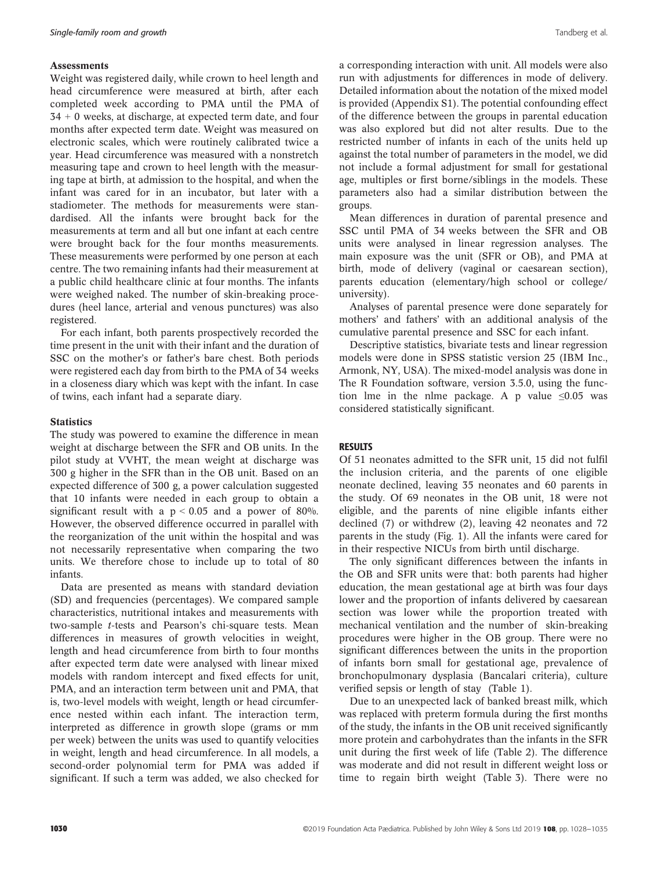## **Assessments**

Weight was registered daily, while crown to heel length and head circumference were measured at birth, after each completed week according to PMA until the PMA of 34 + 0 weeks, at discharge, at expected term date, and four months after expected term date. Weight was measured on electronic scales, which were routinely calibrated twice a year. Head circumference was measured with a nonstretch measuring tape and crown to heel length with the measuring tape at birth, at admission to the hospital, and when the infant was cared for in an incubator, but later with a stadiometer. The methods for measurements were standardised. All the infants were brought back for the measurements at term and all but one infant at each centre were brought back for the four months measurements. These measurements were performed by one person at each centre. The two remaining infants had their measurement at a public child healthcare clinic at four months. The infants were weighed naked. The number of skin-breaking procedures (heel lance, arterial and venous punctures) was also registered.

For each infant, both parents prospectively recorded the time present in the unit with their infant and the duration of SSC on the mother's or father's bare chest. Both periods were registered each day from birth to the PMA of 34 weeks in a closeness diary which was kept with the infant. In case of twins, each infant had a separate diary.

## **Statistics**

The study was powered to examine the difference in mean weight at discharge between the SFR and OB units. In the pilot study at VVHT, the mean weight at discharge was 300 g higher in the SFR than in the OB unit. Based on an expected difference of 300 g, a power calculation suggested that 10 infants were needed in each group to obtain a significant result with a  $p < 0.05$  and a power of 80%. However, the observed difference occurred in parallel with the reorganization of the unit within the hospital and was not necessarily representative when comparing the two units. We therefore chose to include up to total of 80 infants.

Data are presented as means with standard deviation (SD) and frequencies (percentages). We compared sample characteristics, nutritional intakes and measurements with two-sample t-tests and Pearson's chi-square tests. Mean differences in measures of growth velocities in weight, length and head circumference from birth to four months after expected term date were analysed with linear mixed models with random intercept and fixed effects for unit, PMA, and an interaction term between unit and PMA, that is, two-level models with weight, length or head circumference nested within each infant. The interaction term, interpreted as difference in growth slope (grams or mm per week) between the units was used to quantify velocities in weight, length and head circumference. In all models, a second-order polynomial term for PMA was added if significant. If such a term was added, we also checked for a corresponding interaction with unit. All models were also run with adjustments for differences in mode of delivery. Detailed information about the notation of the mixed model is provided (Appendix S1). The potential confounding effect of the difference between the groups in parental education was also explored but did not alter results. Due to the restricted number of infants in each of the units held up against the total number of parameters in the model, we did not include a formal adjustment for small for gestational age, multiples or first borne/siblings in the models. These parameters also had a similar distribution between the groups.

Mean differences in duration of parental presence and SSC until PMA of 34 weeks between the SFR and OB units were analysed in linear regression analyses. The main exposure was the unit (SFR or OB), and PMA at birth, mode of delivery (vaginal or caesarean section), parents education (elementary/high school or college/ university).

Analyses of parental presence were done separately for mothers' and fathers' with an additional analysis of the cumulative parental presence and SSC for each infant.

Descriptive statistics, bivariate tests and linear regression models were done in SPSS statistic version 25 (IBM Inc., Armonk, NY, USA). The mixed-model analysis was done in The R Foundation software, version 3.5.0, using the function lme in the nlme package. A p value  $\leq 0.05$  was considered statistically significant.

## RESULTS

Of 51 neonates admitted to the SFR unit, 15 did not fulfil the inclusion criteria, and the parents of one eligible neonate declined, leaving 35 neonates and 60 parents in the study. Of 69 neonates in the OB unit, 18 were not eligible, and the parents of nine eligible infants either declined (7) or withdrew (2), leaving 42 neonates and 72 parents in the study (Fig. 1). All the infants were cared for in their respective NICUs from birth until discharge.

The only significant differences between the infants in the OB and SFR units were that: both parents had higher education, the mean gestational age at birth was four days lower and the proportion of infants delivered by caesarean section was lower while the proportion treated with mechanical ventilation and the number of skin-breaking procedures were higher in the OB group. There were no significant differences between the units in the proportion of infants born small for gestational age, prevalence of bronchopulmonary dysplasia (Bancalari criteria), culture verified sepsis or length of stay (Table 1).

Due to an unexpected lack of banked breast milk, which was replaced with preterm formula during the first months of the study, the infants in the OB unit received significantly more protein and carbohydrates than the infants in the SFR unit during the first week of life (Table 2). The difference was moderate and did not result in different weight loss or time to regain birth weight (Table 3). There were no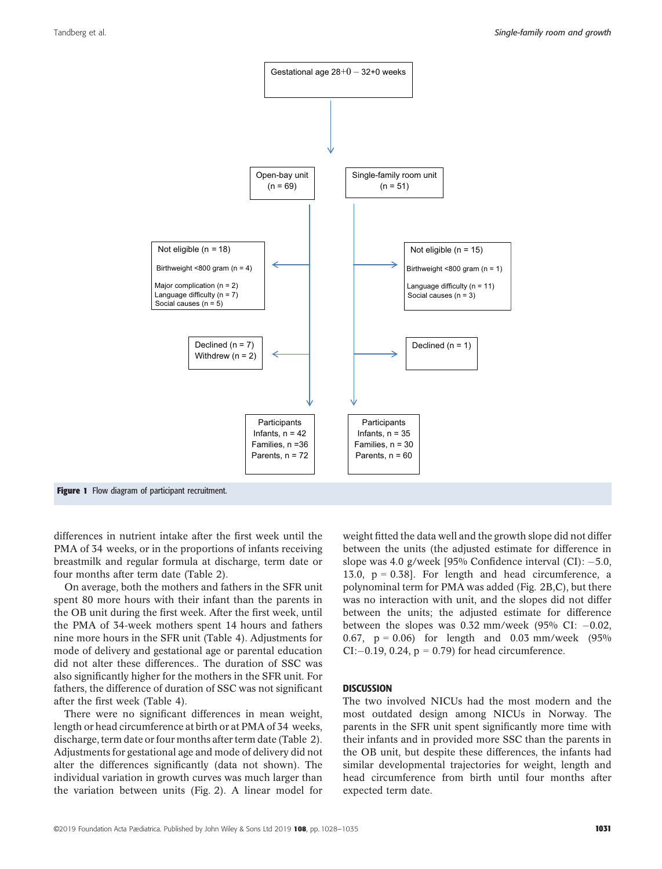

differences in nutrient intake after the first week until the PMA of 34 weeks, or in the proportions of infants receiving breastmilk and regular formula at discharge, term date or four months after term date (Table 2).

On average, both the mothers and fathers in the SFR unit spent 80 more hours with their infant than the parents in the OB unit during the first week. After the first week, until the PMA of 34-week mothers spent 14 hours and fathers nine more hours in the SFR unit (Table 4). Adjustments for mode of delivery and gestational age or parental education did not alter these differences.. The duration of SSC was also significantly higher for the mothers in the SFR unit. For fathers, the difference of duration of SSC was not significant after the first week (Table 4).

There were no significant differences in mean weight, length or head circumference at birth or at PMA of 34 weeks, discharge, term date or four months after term date (Table 2). Adjustments for gestational age and mode of delivery did not alter the differences significantly (data not shown). The individual variation in growth curves was much larger than the variation between units (Fig. 2). A linear model for weight fitted the data well and the growth slope did not differ between the units (the adjusted estimate for difference in slope was 4.0 g/week [95% Confidence interval  $(CI)$ :  $-5.0$ , 13.0,  $p = 0.38$ ]. For length and head circumference, a polynominal term for PMA was added (Fig. 2B,C), but there was no interaction with unit, and the slopes did not differ between the units; the adjusted estimate for difference between the slopes was  $0.32$  mm/week (95% CI:  $-0.02$ , 0.67,  $p = 0.06$ ) for length and 0.03 mm/week (95%)  $CI: -0.19, 0.24, p = 0.79$  for head circumference.

#### **DISCUSSION**

The two involved NICUs had the most modern and the most outdated design among NICUs in Norway. The parents in the SFR unit spent significantly more time with their infants and in provided more SSC than the parents in the OB unit, but despite these differences, the infants had similar developmental trajectories for weight, length and head circumference from birth until four months after expected term date.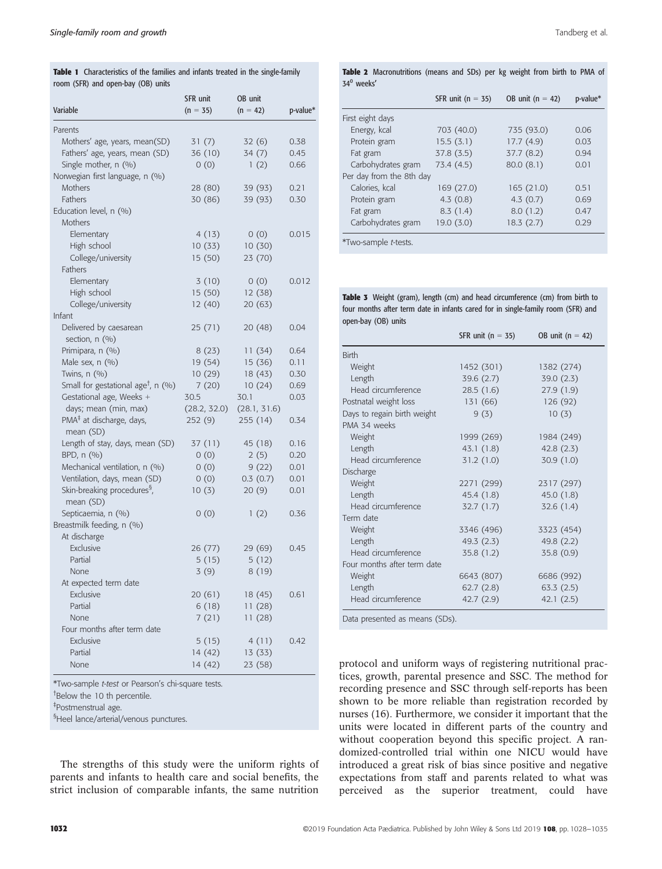## Table 1 Characteristics of the families and infants treated in the single-family room (SFR) and open-bay (OB) units

| Variable                                          | <b>SFR unit</b><br>$(n = 35)$ | OB unit<br>$(n = 42)$ | p-value* |
|---------------------------------------------------|-------------------------------|-----------------------|----------|
| Parents                                           |                               |                       |          |
| Mothers' age, years, mean(SD)                     | 31 (7)                        | 32(6)                 | 0.38     |
| Fathers' age, years, mean (SD)                    | 36 (10)                       | 34(7)                 | 0.45     |
| Single mother, n (%)                              | 0(0)                          | 1(2)                  | 0.66     |
| Norwegian first language, n (%)                   |                               |                       |          |
| Mothers                                           | 28 (80)                       | 39 (93)               | 0.21     |
| Fathers                                           | 30 (86)                       | 39 (93)               | 0.30     |
| Education level, n (%)                            |                               |                       |          |
| Mothers                                           |                               |                       |          |
| Elementary                                        | 4(13)                         | 0(0)                  | 0.015    |
| High school                                       | 10(33)                        | 10(30)                |          |
| College/university                                | 15(50)                        | 23 (70)               |          |
| Fathers                                           |                               |                       |          |
| Elementary                                        | 3(10)                         | 0(0)                  | 0.012    |
| High school                                       | 15(50)                        | 12 (38)               |          |
| College/university                                | 12(40)                        | 20(63)                |          |
| Infant                                            |                               |                       |          |
| Delivered by caesarean                            | 25(71)                        | 20(48)                | 0.04     |
| section, n (%)                                    |                               |                       |          |
| Primipara, n (%)                                  | 8(23)                         | 11(34)                | 0.64     |
| Male sex, n (%)                                   | 19 (54)                       | 15(36)                | 0.11     |
| Twins, $n$ (%)                                    | 10(29)                        | 18(43)                | 0.30     |
| Small for gestational age <sup>†</sup> , n $(\%)$ | 7(20)                         | 10(24)                | 0.69     |
| Gestational age, Weeks +                          | 30.5                          | 30.1                  | 0.03     |
| days; mean (min, max)                             | (28.2, 32.0)                  | (28.1, 31.6)          |          |
| PMA <sup>‡</sup> at discharge, days,              | 252(9)                        | 255(14)               | 0.34     |
| mean (SD)                                         |                               |                       |          |
| Length of stay, days, mean (SD)                   | 37(11)                        | 45 (18)               | 0.16     |
| BPD, n (%)                                        | 0(0)                          | 2(5)                  | 0.20     |
| Mechanical ventilation, n (%)                     | 0(0)                          | 9(22)                 | 0.01     |
| Ventilation, days, mean (SD)                      | 0(0)                          | 0.3(0.7)              | 0.01     |
| Skin-breaking procedures <sup>§</sup> ,           | 10(3)                         | 20(9)                 | 0.01     |
| mean (SD)                                         |                               |                       |          |
| Septicaemia, n (%)                                | 0(0)                          | 1(2)                  | 0.36     |
| Breastmilk feeding, n (%)                         |                               |                       |          |
| At discharge                                      |                               |                       |          |
| Exclusive                                         | 26 (77)                       | 29 (69)               | 0.45     |
| Partial                                           | 5(15)                         | 5(12)                 |          |
| None                                              | 3(9)                          | 8(19)                 |          |
| At expected term date                             |                               |                       |          |
| Exclusive                                         | 20(61)                        | 18(45)                | 0.61     |
| Partial                                           | 6(18)                         | 11(28)                |          |
| None                                              | 7(21)                         | 11(28)                |          |
| Four months after term date                       |                               |                       |          |
| Exclusive                                         | 5(15)                         | 4(11)                 | 0.42     |
| Partial                                           | 14(42)                        | 13 (33)               |          |
| None                                              | 14 (42)                       | 23 (58)               |          |
|                                                   |                               |                       |          |

\*Two-sample t-test or Pearson's chi-square tests.

† Below the 10 th percentile.

‡ Postmenstrual age.

§ Heel lance/arterial/venous punctures.

The strengths of this study were the uniform rights of parents and infants to health care and social benefits, the strict inclusion of comparable infants, the same nutrition

|                        | <b>Table 2</b> Macronutritions (means and SDs) per kg weight from birth to PMA of |  |  |  |  |  |  |
|------------------------|-----------------------------------------------------------------------------------|--|--|--|--|--|--|
| 34 <sup>0</sup> weeks' |                                                                                   |  |  |  |  |  |  |

|                          | SFR unit $(n = 35)$ | OB unit $(n = 42)$ | p-value* |  |
|--------------------------|---------------------|--------------------|----------|--|
| First eight days         |                     |                    |          |  |
| Energy, kcal             | 703 (40.0)          | 735 (93.0)         | 0.06     |  |
| Protein gram             | 15.5(3.1)           | 17.7(4.9)          | 0.03     |  |
| Fat gram                 | 37.8(3.5)           | 37.7(8.2)          | 0.94     |  |
| Carbohydrates gram       | 73.4(4.5)           | 80.0(8.1)          | 0.01     |  |
| Per day from the 8th day |                     |                    |          |  |
| Calories, kcal           | 169 (27.0)          | 165(21.0)          | 0.51     |  |
| Protein gram             | 4.3(0.8)            | 4.3(0.7)           | 0.69     |  |
| Fat gram                 | 8.3(1.4)            | 8.0(1.2)           | 0.47     |  |
| Carbohydrates gram       | 19.0 (3.0)          | 18.3(2.7)          | 0.29     |  |

\*Two-sample t-tests.

Table 3 Weight (gram), length (cm) and head circumference (cm) from birth to four months after term date in infants cared for in single-family room (SFR) and open-bay (OB) units

|                             | SFR unit $(n = 35)$ | OB unit $(n = 42)$ |  |  |  |  |  |
|-----------------------------|---------------------|--------------------|--|--|--|--|--|
| <b>Rirth</b>                |                     |                    |  |  |  |  |  |
| Weight                      | 1452 (301)          | 1382 (274)         |  |  |  |  |  |
| Length                      | 39.6(2.7)           | 39.0 (2.3)         |  |  |  |  |  |
| Head circumference          | 28.5(1.6)           | 27.9(1.9)          |  |  |  |  |  |
| Postnatal weight loss       | 131(66)             | 126 (92)           |  |  |  |  |  |
| Days to regain birth weight | 9(3)                | 10(3)              |  |  |  |  |  |
| PMA 34 weeks                |                     |                    |  |  |  |  |  |
| Weight                      | 1999 (269)          | 1984 (249)         |  |  |  |  |  |
| Length                      | 43.1(1.8)           | 42.8(2.3)          |  |  |  |  |  |
| Head circumference          | 31.2(1.0)           | 30.9(1.0)          |  |  |  |  |  |
| Discharge                   |                     |                    |  |  |  |  |  |
| Weight                      | 2271 (299)          | 2317 (297)         |  |  |  |  |  |
| Length                      | 45.4(1.8)           | 45.0(1.8)          |  |  |  |  |  |
| Head circumference          | 32.7(1.7)           | 32.6 (1.4)         |  |  |  |  |  |
| Term date                   |                     |                    |  |  |  |  |  |
| Weight                      | 3346 (496)          | 3323 (454)         |  |  |  |  |  |
| Length                      | 49.3(2.3)           | 49.8 (2.2)         |  |  |  |  |  |
| Head circumference          | 35.8 (1.2)          | 35.8 (0.9)         |  |  |  |  |  |
| Four months after term date |                     |                    |  |  |  |  |  |
| Weight                      | 6643 (807)          | 6686 (992)         |  |  |  |  |  |
| Length                      | 62.7(2.8)           | 63.3(2.5)          |  |  |  |  |  |
| Head circumference          | 42.7(2.9)           | 42.1(2.5)          |  |  |  |  |  |
|                             |                     |                    |  |  |  |  |  |

Data presented as means (SDs).

protocol and uniform ways of registering nutritional practices, growth, parental presence and SSC. The method for recording presence and SSC through self-reports has been shown to be more reliable than registration recorded by nurses (16). Furthermore, we consider it important that the units were located in different parts of the country and without cooperation beyond this specific project. A randomized-controlled trial within one NICU would have introduced a great risk of bias since positive and negative expectations from staff and parents related to what was perceived as the superior treatment, could have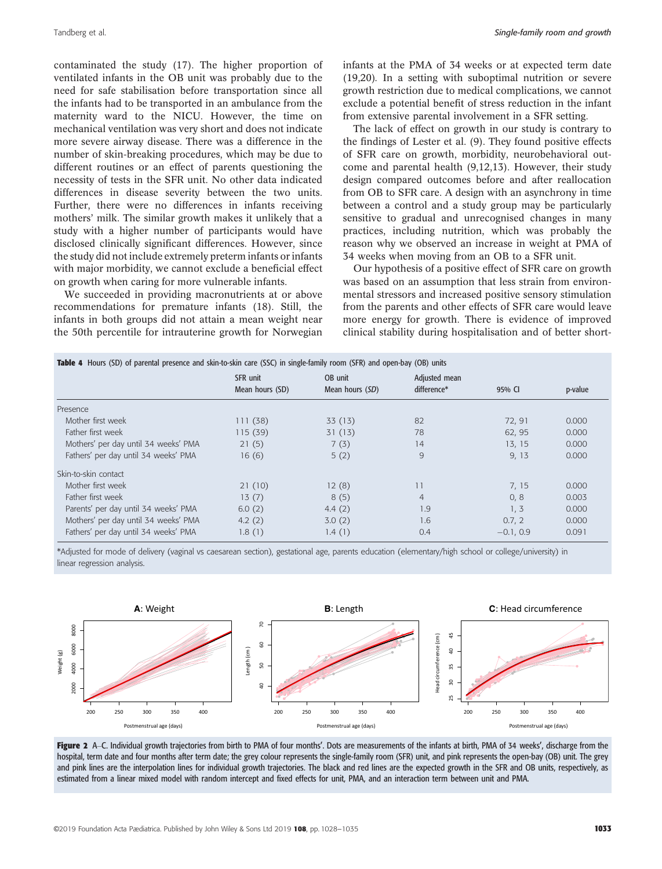contaminated the study (17). The higher proportion of ventilated infants in the OB unit was probably due to the need for safe stabilisation before transportation since all the infants had to be transported in an ambulance from the maternity ward to the NICU. However, the time on mechanical ventilation was very short and does not indicate more severe airway disease. There was a difference in the number of skin-breaking procedures, which may be due to different routines or an effect of parents questioning the necessity of tests in the SFR unit. No other data indicated differences in disease severity between the two units. Further, there were no differences in infants receiving mothers' milk. The similar growth makes it unlikely that a study with a higher number of participants would have disclosed clinically significant differences. However, since the study did not include extremely preterm infants or infants with major morbidity, we cannot exclude a beneficial effect on growth when caring for more vulnerable infants.

We succeeded in providing macronutrients at or above recommendations for premature infants (18). Still, the infants in both groups did not attain a mean weight near the 50th percentile for intrauterine growth for Norwegian

infants at the PMA of 34 weeks or at expected term date (19,20). In a setting with suboptimal nutrition or severe growth restriction due to medical complications, we cannot exclude a potential benefit of stress reduction in the infant from extensive parental involvement in a SFR setting.

The lack of effect on growth in our study is contrary to the findings of Lester et al. (9). They found positive effects of SFR care on growth, morbidity, neurobehavioral outcome and parental health (9,12,13). However, their study design compared outcomes before and after reallocation from OB to SFR care. A design with an asynchrony in time between a control and a study group may be particularly sensitive to gradual and unrecognised changes in many practices, including nutrition, which was probably the reason why we observed an increase in weight at PMA of 34 weeks when moving from an OB to a SFR unit.

Our hypothesis of a positive effect of SFR care on growth was based on an assumption that less strain from environmental stressors and increased positive sensory stimulation from the parents and other effects of SFR care would leave more energy for growth. There is evidence of improved clinical stability during hospitalisation and of better short-

|  |  |  |  |  |  | <b>Table 4</b> Hours (SD) of parental presence and skin-to-skin care (SSC) in single-family room (SFR) and open-bay (OB) units |
|--|--|--|--|--|--|--------------------------------------------------------------------------------------------------------------------------------|
|--|--|--|--|--|--|--------------------------------------------------------------------------------------------------------------------------------|

| COLLEGE TIONS (OD) OF PAI CHAIN PRESENCE AND SNIFT COSNIL CALC (33C) IN SINGLE-RAHINY TOONER (3DE) AND COPY UNIS |                 |                 |                |             |         |  |  |  |
|------------------------------------------------------------------------------------------------------------------|-----------------|-----------------|----------------|-------------|---------|--|--|--|
|                                                                                                                  | SFR unit        | OB unit         | Adjusted mean  |             |         |  |  |  |
|                                                                                                                  | Mean hours (SD) | Mean hours (SD) | difference*    | 95% CI      | p-value |  |  |  |
| Presence                                                                                                         |                 |                 |                |             |         |  |  |  |
| Mother first week                                                                                                | 111(38)         | 33(13)          | 82             | 72, 91      | 0.000   |  |  |  |
| Father first week                                                                                                | 115(39)         | 31(13)          | 78             | 62, 95      | 0.000   |  |  |  |
| Mothers' per day until 34 weeks' PMA                                                                             | 21(5)           | 7(3)            | 14             | 13, 15      | 0.000   |  |  |  |
| Fathers' per day until 34 weeks' PMA                                                                             | 16(6)           | 5(2)            | 9              | 9, 13       | 0.000   |  |  |  |
| Skin-to-skin contact                                                                                             |                 |                 |                |             |         |  |  |  |
| Mother first week                                                                                                | 21(10)          | 12(8)           | 11             | 7, 15       | 0.000   |  |  |  |
| Father first week                                                                                                | 13(7)           | 8(5)            | $\overline{4}$ | 0, 8        | 0.003   |  |  |  |
| Parents' per day until 34 weeks' PMA                                                                             | 6.0(2)          | 4.4 $(2)$       | 1.9            | 1, 3        | 0.000   |  |  |  |
| Mothers' per day until 34 weeks' PMA                                                                             | 4.2(2)          | 3.0(2)          | 1.6            | 0.7, 2      | 0.000   |  |  |  |
| Fathers' per day until 34 weeks' PMA                                                                             | 1.8(1)          | 1.4(1)          | 0.4            | $-0.1, 0.9$ | 0.091   |  |  |  |

\*Adjusted for mode of delivery (vaginal vs caesarean section), gestational age, parents education (elementary/high school or college/university) in linear regression analysis.



Figure 2 A–C. Individual growth trajectories from birth to PMA of four months'. Dots are measurements of the infants at birth, PMA of 34 weeks', discharge from the hospital, term date and four months after term date; the grey colour represents the single-family room (SFR) unit, and pink represents the open-bay (OB) unit. The grey and pink lines are the interpolation lines for individual growth trajectories. The black and red lines are the expected growth in the SFR and OB units, respectively, as estimated from a linear mixed model with random intercept and fixed effects for unit, PMA, and an interaction term between unit and PMA.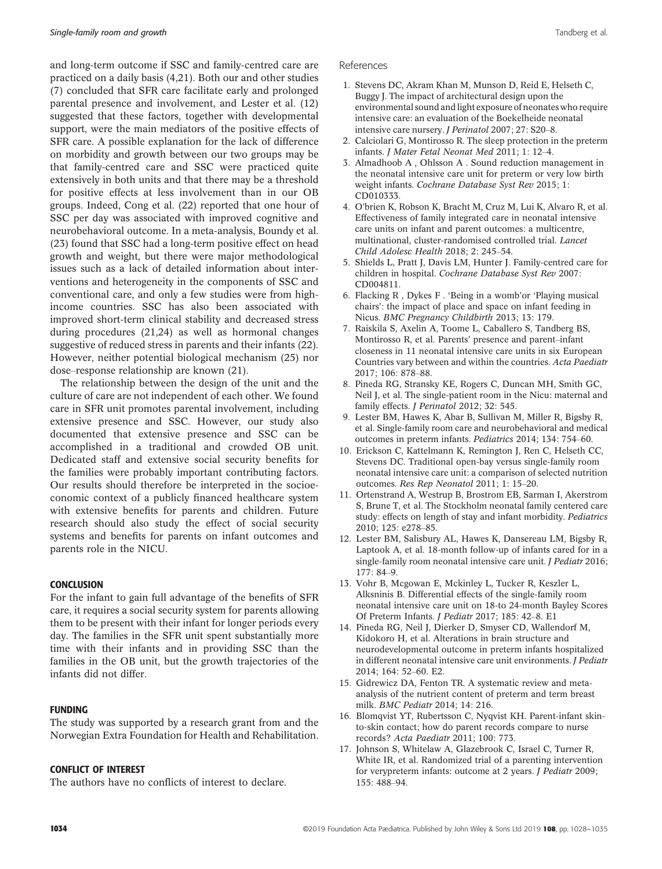and long-term outcome if SSC and family-centred care are practiced on a daily basis (4,21). Both our and other studies (7) concluded that SFR care facilitate early and prolonged parental presence and involvement, and Lester et al. (12) suggested that these factors, together with developmental support, were the main mediators of the positive effects of SFR care. A possible explanation for the lack of difference on morbidity and growth between our two groups may be that family-centred care and SSC were practiced quite extensively in both units and that there may be a threshold for positive effects at less involvement than in our OB groups. Indeed, Cong et al. (22) reported that one hour of SSC per day was associated with improved cognitive and neurobehavioral outcome. In a meta-analysis, Boundy et al. (23) found that SSC had a long-term positive effect on head growth and weight, but there were major methodological issues such as a lack of detailed information about interventions and heterogeneity in the components of SSC and conventional care, and only a few studies were from highincome countries. SSC has also been associated with improved short-term clinical stability and decreased stress during procedures (21,24) as well as hormonal changes suggestive of reduced stress in parents and their infants (22). However, neither potential biological mechanism (25) nor dose–response relationship are known (21).

The relationship between the design of the unit and the culture of care are not independent of each other. We found care in SFR unit promotes parental involvement, including extensive presence and SSC. However, our study also documented that extensive presence and SSC can be accomplished in a traditional and crowded OB unit. Dedicated staff and extensive social security benefits for the families were probably important contributing factors. Our results should therefore be interpreted in the socioeconomic context of a publicly financed healthcare system with extensive benefits for parents and children. Future research should also study the effect of social security systems and benefits for parents on infant outcomes and parents role in the NICU.

# **CONCLUSION**

For the infant to gain full advantage of the benefits of SFR care, it requires a social security system for parents allowing them to be present with their infant for longer periods every day. The families in the SFR unit spent substantially more time with their infants and in providing SSC than the families in the OB unit, but the growth trajectories of the infants did not differ.

# FUNDING

The study was supported by a research grant from and the Norwegian Extra Foundation for Health and Rehabilitation.

# CONFLICT OF INTEREST

The authors have no conflicts of interest to declare.

## References

- 1. Stevens DC, Akram Khan M, Munson D, Reid E, Helseth C, Buggy J. The impact of architectural design upon the environmental sound and light exposure of neonates who require intensive care: an evaluation of the Boekelheide neonatal intensive care nursery. J Perinatol 2007; 27: S20–8.
- 2. Calciolari G, Montirosso R. The sleep protection in the preterm infants. J Mater Fetal Neonat Med 2011; 1: 12–4.
- 3. Almadhoob A , Ohlsson A . Sound reduction management in the neonatal intensive care unit for preterm or very low birth weight infants. Cochrane Database Syst Rev 2015; 1: CD010333.
- 4. O'brien K, Robson K, Bracht M, Cruz M, Lui K, Alvaro R, et al. Effectiveness of family integrated care in neonatal intensive care units on infant and parent outcomes: a multicentre, multinational, cluster-randomised controlled trial. Lancet Child Adolesc Health 2018; 2: 245–54.
- 5. Shields L, Pratt J, Davis LM, Hunter J. Family-centred care for children in hospital. Cochrane Database Syst Rev 2007: CD004811.
- 6. Flacking R , Dykes F . 'Being in a womb'or 'Playing musical chairs': the impact of place and space on infant feeding in Nicus. BMC Pregnancy Childbirth 2013; 13: 179.
- 7. Raiskila S, Axelin A, Toome L, Caballero S, Tandberg BS, Montirosso R, et al. Parents' presence and parent–infant closeness in 11 neonatal intensive care units in six European Countries vary between and within the countries. Acta Paediatr 2017; 106: 878–88.
- 8. Pineda RG, Stransky KE, Rogers C, Duncan MH, Smith GC, Neil J, et al. The single-patient room in the Nicu: maternal and family effects. *J Perinatol* 2012; 32: 545.
- 9. Lester BM, Hawes K, Abar B, Sullivan M, Miller R, Bigsby R, et al. Single-family room care and neurobehavioral and medical outcomes in preterm infants. Pediatrics 2014; 134: 754–60.
- 10. Erickson C, Kattelmann K, Remington J, Ren C, Helseth CC, Stevens DC. Traditional open-bay versus single-family room neonatal intensive care unit: a comparison of selected nutrition outcomes. Res Rep Neonatol 2011; 1: 15–20.
- 11. Ortenstrand A, Westrup B, Brostrom EB, Sarman I, Akerstrom S, Brune T, et al. The Stockholm neonatal family centered care study: effects on length of stay and infant morbidity. Pediatrics 2010; 125: e278–85.
- 12. Lester BM, Salisbury AL, Hawes K, Dansereau LM, Bigsby R, Laptook A, et al. 18-month follow-up of infants cared for in a single-family room neonatal intensive care unit. J Pediatr 2016; 177: 84–9.
- 13. Vohr B, Mcgowan E, Mckinley L, Tucker R, Keszler L, Alksninis B. Differential effects of the single-family room neonatal intensive care unit on 18-to 24-month Bayley Scores Of Preterm Infants. J Pediatr 2017; 185: 42–8. E1
- 14. Pineda RG, Neil J, Dierker D, Smyser CD, Wallendorf M, Kidokoro H, et al. Alterations in brain structure and neurodevelopmental outcome in preterm infants hospitalized in different neonatal intensive care unit environments. J Pediatr 2014; 164: 52–60. E2.
- 15. Gidrewicz DA, Fenton TR. A systematic review and metaanalysis of the nutrient content of preterm and term breast milk. BMC Pediatr 2014; 14: 216.
- 16. Blomqvist YT, Rubertsson C, Nyqvist KH. Parent-infant skinto-skin contact; how do parent records compare to nurse records? Acta Paediatr 2011; 100: 773.
- 17. Johnson S, Whitelaw A, Glazebrook C, Israel C, Turner R, White IR, et al. Randomized trial of a parenting intervention for verypreterm infants: outcome at 2 years. J Pediatr 2009; 155: 488–94.